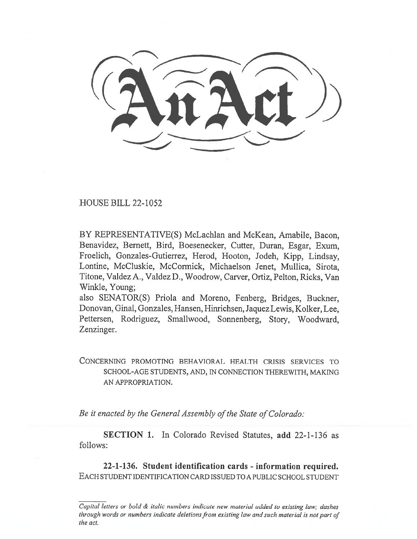HOUSE BILL 22-1052

BY REPRESENTATIVE(S) McLachlan and McKean, Amabile, Bacon, Benavidez, Bernett, Bird, Boesenecker, Cutter, Duran, Esgar, Exum, Froelich, Gonzales-Gutierrez, Herod, Hooton, Jodeh, Kipp, Lindsay, Lontine, McCluskie, McCormick, Michaelson Jenet, Mullica, Sirota, Titone, Valdez A., Valdez D., Woodrow, Carver, Ortiz, Pelton, Ricks, Van Winkle, Young;

also SENATOR(S) Priola and Moreno, Fenberg, Bridges, Buckner, Donovan, Ginal, Gonzales, Hansen, Hinrichsen, Jaquez Lewis, Kolker, Lee, Pettersen, Rodriguez, Smallwood, Sonnenberg, Story, Woodward, Zenzinger.

CONCERNING PROMOTING BEHAVIORAL HEALTH CRISIS SERVICES TO SCHOOL-AGE STUDENTS, AND, IN CONNECTION THEREWITH, MAKING AN APPROPRIATION.

Be it enacted by the General Assembly of the State of Colorado:

SECTION 1. In Colorado Revised Statutes, add 22-1-136 as follows:

22-1-136. Student identification cards - information required. EACH STUDENT IDENTIFICATION CARD ISSUED TO A PUBLIC SCHOOL STUDENT

Capital letters or bold & italic numbers indicate new material added to existing law; dashes through words or numbers indicate deletions from existing law and such material is not part of the act.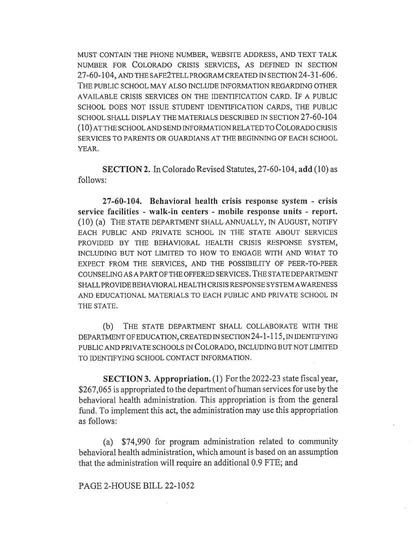MUST CONTAIN THE PHONE NUMBER, WEBSITE ADDRESS, AND TEXT TALK NUMBER FOR COLORADO CRISIS SERVICES, AS DEFINED IN SECTION 27-60-104, AND THE SAFE2TELL PROGRAM CREATED IN SECTION 24-31-606. THE PUBLIC SCHOOL MAY ALSO INCLUDE INFORMATION REGARDING OTHER AVAILABLE CRISIS SERVICES ON THE IDENTIFICATION CARD. IF A PUBLIC SCHOOL DOES NOT ISSUE STUDENT IDENTIFICATION CARDS, THE PUBLIC SCHOOL SHALL DISPLAY THE MATERIALS DESCRIBED IN SECTION 27-60-104 (10) AT THE SCHOOL AND SEND INFORMATION RELATED TO COLORADO CRISIS SERVICES TO PARENTS OR GUARDIANS AT THE BEGINNING OF EACH SCHOOL YEAR.

SECTION 2. In Colorado Revised Statutes, 27-60-104, add (10) as follows:

27-60-104. Behavioral health crisis response system - crisis service facilities - walk-in centers - mobile response units - report. (10) (a) THE STATE DEPARTMENT SHALL ANNUALLY, IN AUGUST, NOTIFY EACH PUBLIC AND PRIVATE SCHOOL IN THE STATE ABOUT SERVICES PROVIDED BY THE BEHAVIORAL HEALTH CRISIS RESPONSE SYSTEM, INCLUDING BUT NOT LIMITED TO HOW TO ENGAGE WITH AND WHAT TO EXPECT FROM THE SERVICES, AND THE POSSIBILITY OF PEER-TO-PEER COUNSELING AS A PART OF THE OFFERED SERVICES. THE STATE DEPARTMENT SHALL PROVIDE BEHAVIORAL HEALTH CRISIS RESPONSE SYSTEM AWARENESS AND EDUCATIONAL MATERIALS TO EACH PUBLIC AND PRIVATE SCHOOL IN THE STATE.

(b) THE STATE DEPARTMENT SHALL COLLABORATE WITH THE DEPARTMENT OF EDUCATION, CREATED IN SECTION 24-1-115, IN IDENTIFYING PUBLIC AND PRIVATE SCHOOLS IN COLORADO, INCLUDING BUT NOT LIMITED TO IDENTIFYING SCHOOL CONTACT INFORMATION.

SECTION 3. Appropriation. (1) For the 2022-23 state fiscal year, \$267,065 is appropriated to the department of human services for use by the behavioral health administration. This appropriation is from the general fund. To implement this act, the administration may use this appropriation as follows:

(a) \$74,990 for program administration related to community behavioral health administration, which amount is based on an assumption that the administration will require an additional 0.9 FTE; and

## PAGE 2-HOUSE BILL 22-1052